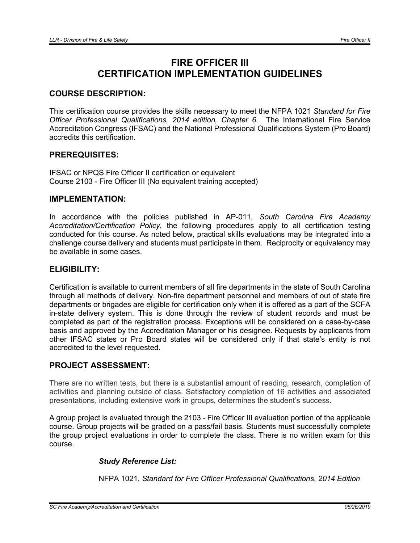# FIRE OFFICER III CERTIFICATION IMPLEMENTATION GUIDELINES

# COURSE DESCRIPTION:

This certification course provides the skills necessary to meet the NFPA 1021 *Standard for Fire Officer Professional Qualifications, 2014 edition, Chapter 6*. The International Fire Service Accreditation Congress (IFSAC) and the National Professional Qualifications System (Pro Board) accredits this certification.

## PREREQUISITES:

IFSAC or NPQS Fire Officer II certification or equivalent Course 2103 - Fire Officer III (No equivalent training accepted)

#### IMPLEMENTATION:

In accordance with the policies published in AP-011, *South Carolina Fire Academy Accreditation/Certification Policy*, the following procedures apply to all certification testing conducted for this course. As noted below, practical skills evaluations may be integrated into a challenge course delivery and students must participate in them. Reciprocity or equivalency may be available in some cases.

#### ELIGIBILITY:

Certification is available to current members of all fire departments in the state of South Carolina through all methods of delivery. Non-fire department personnel and members of out of state fire departments or brigades are eligible for certification only when it is offered as a part of the SCFA in-state delivery system. This is done through the review of student records and must be completed as part of the registration process. Exceptions will be considered on a case-by-case basis and approved by the Accreditation Manager or his designee. Requests by applicants from other IFSAC states or Pro Board states will be considered only if that state's entity is not accredited to the level requested.

## PROJECT ASSESSMENT:

There are no written tests, but there is a substantial amount of reading, research, completion of activities and planning outside of class. Satisfactory completion of 16 activities and associated presentations, including extensive work in groups, determines the student's success.

A group project is evaluated through the 2103 - Fire Officer III evaluation portion of the applicable course. Group projects will be graded on a pass/fail basis. Students must successfully complete the group project evaluations in order to complete the class. There is no written exam for this course.

## *Study Reference List:*

NFPA 1021, *Standard for Fire Officer Professional Qualifications*, *2014 Edition*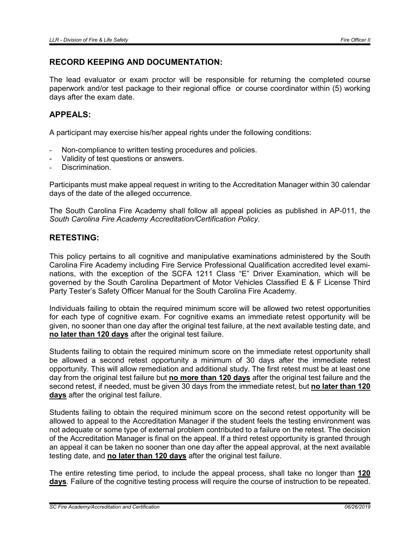## RECORD KEEPING AND DOCUMENTATION:

The lead evaluator or exam proctor will be responsible for returning the completed course paperwork and/or test package to their regional office or course coordinator within (5) working days after the exam date.

# APPEALS:

A participant may exercise his/her appeal rights under the following conditions:

- Non-compliance to written testing procedures and policies.
- Validity of test questions or answers.
- Discrimination.

Participants must make appeal request in writing to the Accreditation Manager within 30 calendar days of the date of the alleged occurrence.

The South Carolina Fire Academy shall follow all appeal policies as published in AP-011, the *South Carolina Fire Academy Accreditation/Certification Policy*.

#### RETESTING:

This policy pertains to all cognitive and manipulative examinations administered by the South Carolina Fire Academy including Fire Service Professional Qualification accredited level examinations, with the exception of the SCFA 1211 Class "E" Driver Examination, which will be governed by the South Carolina Department of Motor Vehicles Classified E & F License Third Party Tester's Safety Officer Manual for the South Carolina Fire Academy.

Individuals failing to obtain the required minimum score will be allowed two retest opportunities for each type of cognitive exam. For cognitive exams an immediate retest opportunity will be given, no sooner than one day after the original test failure, at the next available testing date, and no later than 120 days after the original test failure.

Students failing to obtain the required minimum score on the immediate retest opportunity shall be allowed a second retest opportunity a minimum of 30 days after the immediate retest opportunity. This will allow remediation and additional study. The first retest must be at least one day from the original test failure but no more than 120 days after the original test failure and the second retest, if needed, must be given 30 days from the immediate retest, but no later than 120 days after the original test failure.

Students failing to obtain the required minimum score on the second retest opportunity will be allowed to appeal to the Accreditation Manager if the student feels the testing environment was not adequate or some type of external problem contributed to a failure on the retest. The decision of the Accreditation Manager is final on the appeal. If a third retest opportunity is granted through an appeal it can be taken no sooner than one day after the appeal approval, at the next available testing date, and no later than 120 days after the original test failure.

The entire retesting time period, to include the appeal process, shall take no longer than 120 days. Failure of the cognitive testing process will require the course of instruction to be repeated.